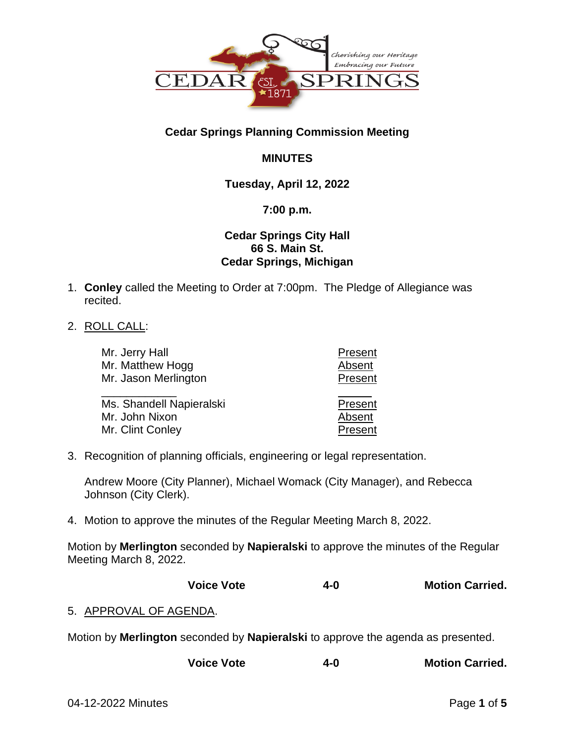

# **Cedar Springs Planning Commission Meeting**

# **MINUTES**

# **Tuesday, April 12, 2022**

## **7:00 p.m.**

## **Cedar Springs City Hall 66 S. Main St. Cedar Springs, Michigan**

- 1. **Conley** called the Meeting to Order at 7:00pm. The Pledge of Allegiance was recited.
- 2. ROLL CALL:

| Mr. Jerry Hall                             | Present           |
|--------------------------------------------|-------------------|
| Mr. Matthew Hogg                           | Absent            |
| Mr. Jason Merlington                       | Present           |
| Ms. Shandell Napieralski<br>Mr. John Nixon | Present<br>Absent |
| Mr. Clint Conley                           | Present           |
|                                            |                   |

3. Recognition of planning officials, engineering or legal representation.

Andrew Moore (City Planner), Michael Womack (City Manager), and Rebecca Johnson (City Clerk).

4. Motion to approve the minutes of the Regular Meeting March 8, 2022.

Motion by **Merlington** seconded by **Napieralski** to approve the minutes of the Regular Meeting March 8, 2022.

**Voice Vote 4-0 Motion Carried.**

# 5. APPROVAL OF AGENDA.

Motion by **Merlington** seconded by **Napieralski** to approve the agenda as presented.

| <b>Voice Vote</b><br>4-0 | <b>Motion Carried.</b> |
|--------------------------|------------------------|
|--------------------------|------------------------|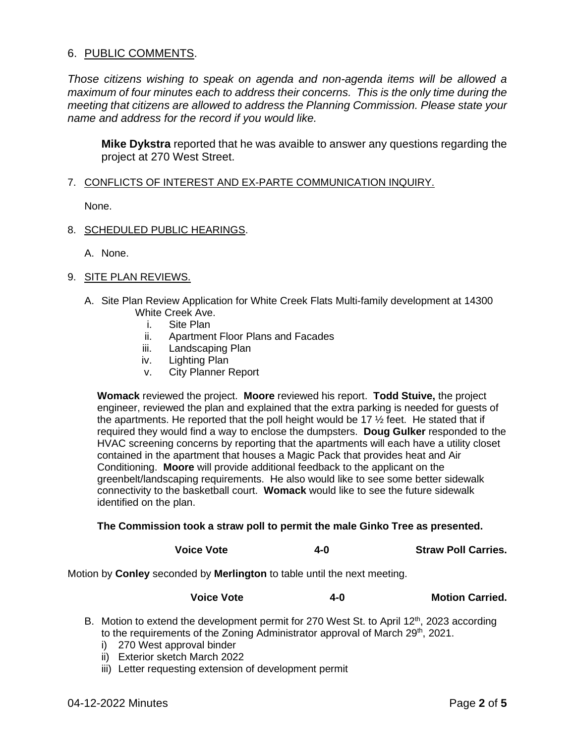## 6. PUBLIC COMMENTS.

*Those citizens wishing to speak on agenda and non-agenda items will be allowed a maximum of four minutes each to address their concerns. This is the only time during the meeting that citizens are allowed to address the Planning Commission. Please state your name and address for the record if you would like.*

**Mike Dykstra** reported that he was avaible to answer any questions regarding the project at 270 West Street.

#### 7. CONFLICTS OF INTEREST AND EX-PARTE COMMUNICATION INQUIRY.

None.

#### 8. SCHEDULED PUBLIC HEARINGS.

A. None.

## 9. SITE PLAN REVIEWS.

- A. Site Plan Review Application for White Creek Flats Multi-family development at 14300 White Creek Ave.
	- i. Site Plan
	- ii. Apartment Floor Plans and Facades
	- iii. Landscaping Plan
	- iv. Lighting Plan
	- v. City Planner Report

**Womack** reviewed the project. **Moore** reviewed his report. **Todd Stuive,** the project engineer, reviewed the plan and explained that the extra parking is needed for guests of the apartments. He reported that the poll height would be 17  $\frac{1}{2}$  feet. He stated that if required they would find a way to enclose the dumpsters. **Doug Gulker** responded to the HVAC screening concerns by reporting that the apartments will each have a utility closet contained in the apartment that houses a Magic Pack that provides heat and Air Conditioning. **Moore** will provide additional feedback to the applicant on the greenbelt/landscaping requirements. He also would like to see some better sidewalk connectivity to the basketball court. **Womack** would like to see the future sidewalk identified on the plan.

#### **The Commission took a straw poll to permit the male Ginko Tree as presented.**

| <b>Voice Vote</b> | 4-0 | <b>Straw Poll Carries.</b> |
|-------------------|-----|----------------------------|
|                   |     |                            |

Motion by **Conley** seconded by **Merlington** to table until the next meeting.

#### **Voice Vote 4-0 Motion Carried.**

- B. Motion to extend the development permit for 270 West St. to April 12<sup>th</sup>, 2023 according to the requirements of the Zoning Administrator approval of March 29<sup>th</sup>, 2021.
	- i) 270 West approval binder
	- ii) Exterior sketch March 2022
	- iii) Letter requesting extension of development permit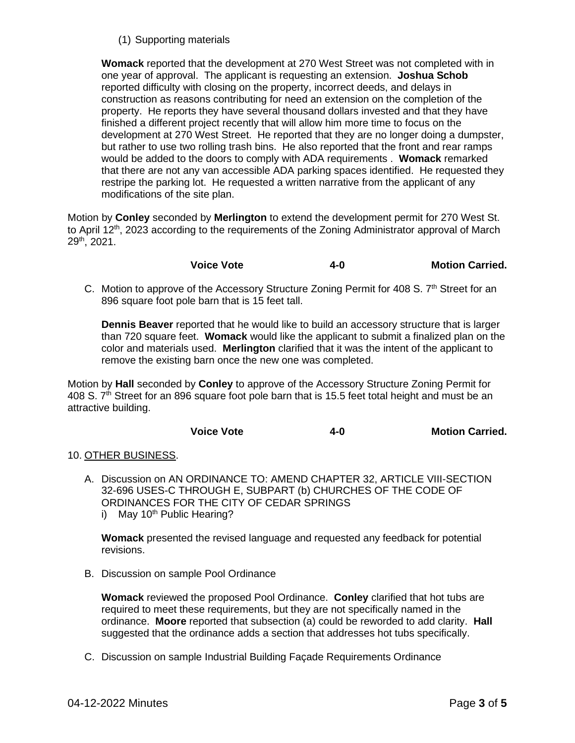## (1) Supporting materials

**Womack** reported that the development at 270 West Street was not completed with in one year of approval. The applicant is requesting an extension. **Joshua Schob** reported difficulty with closing on the property, incorrect deeds, and delays in construction as reasons contributing for need an extension on the completion of the property. He reports they have several thousand dollars invested and that they have finished a different project recently that will allow him more time to focus on the development at 270 West Street. He reported that they are no longer doing a dumpster, but rather to use two rolling trash bins. He also reported that the front and rear ramps would be added to the doors to comply with ADA requirements . **Womack** remarked that there are not any van accessible ADA parking spaces identified. He requested they restripe the parking lot. He requested a written narrative from the applicant of any modifications of the site plan.

Motion by **Conley** seconded by **Merlington** to extend the development permit for 270 West St. to April 12<sup>th</sup>, 2023 according to the requirements of the Zoning Administrator approval of March 29th, 2021.

- **Voice Vote 4-0 Motion Carried.**
- C. Motion to approve of the Accessory Structure Zoning Permit for 408 S. 7<sup>th</sup> Street for an 896 square foot pole barn that is 15 feet tall.

**Dennis Beaver** reported that he would like to build an accessory structure that is larger than 720 square feet. **Womack** would like the applicant to submit a finalized plan on the color and materials used. **Merlington** clarified that it was the intent of the applicant to remove the existing barn once the new one was completed.

Motion by **Hall** seconded by **Conley** to approve of the Accessory Structure Zoning Permit for 408 S. 7<sup>th</sup> Street for an 896 square foot pole barn that is 15.5 feet total height and must be an attractive building.

#### **Voice Vote 4-0 Motion Carried.**

### 10. OTHER BUSINESS.

- A. Discussion on AN ORDINANCE TO: AMEND CHAPTER 32, ARTICLE VIII-SECTION 32-696 USES-C THROUGH E, SUBPART (b) CHURCHES OF THE CODE OF ORDINANCES FOR THE CITY OF CEDAR SPRINGS
	- i) May  $10^{th}$  Public Hearing?

**Womack** presented the revised language and requested any feedback for potential revisions.

B. Discussion on sample Pool Ordinance

**Womack** reviewed the proposed Pool Ordinance. **Conley** clarified that hot tubs are required to meet these requirements, but they are not specifically named in the ordinance. **Moore** reported that subsection (a) could be reworded to add clarity. **Hall** suggested that the ordinance adds a section that addresses hot tubs specifically.

C. Discussion on sample Industrial Building Façade Requirements Ordinance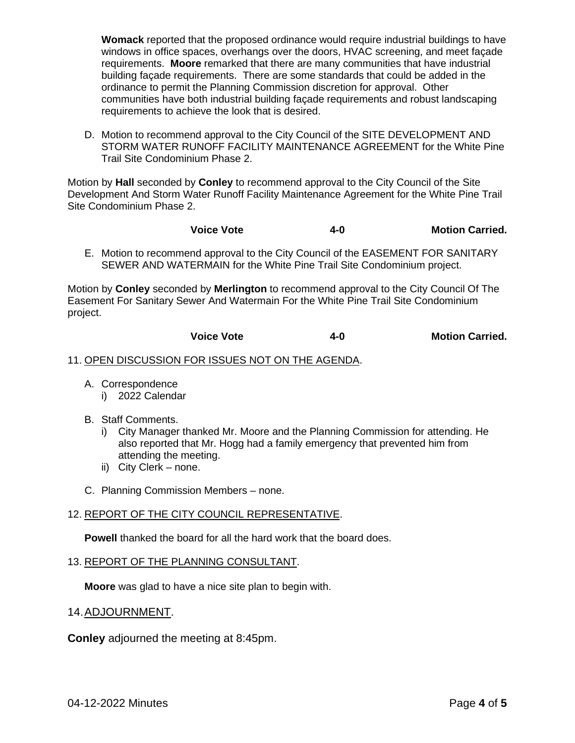**Womack** reported that the proposed ordinance would require industrial buildings to have windows in office spaces, overhangs over the doors, HVAC screening, and meet façade requirements. **Moore** remarked that there are many communities that have industrial building façade requirements. There are some standards that could be added in the ordinance to permit the Planning Commission discretion for approval. Other communities have both industrial building façade requirements and robust landscaping requirements to achieve the look that is desired.

D. Motion to recommend approval to the City Council of the SITE DEVELOPMENT AND STORM WATER RUNOFF FACILITY MAINTENANCE AGREEMENT for the White Pine Trail Site Condominium Phase 2.

Motion by **Hall** seconded by **Conley** to recommend approval to the City Council of the Site Development And Storm Water Runoff Facility Maintenance Agreement for the White Pine Trail Site Condominium Phase 2.

- **Voice Vote 4-0 Motion Carried.**
- E. Motion to recommend approval to the City Council of the EASEMENT FOR SANITARY SEWER AND WATERMAIN for the White Pine Trail Site Condominium project.

Motion by **Conley** seconded by **Merlington** to recommend approval to the City Council Of The Easement For Sanitary Sewer And Watermain For the White Pine Trail Site Condominium project.

#### **Voice Vote 4-0 Motion Carried.**

#### 11. OPEN DISCUSSION FOR ISSUES NOT ON THE AGENDA.

- A. Correspondence i) 2022 Calendar
	-
- B. Staff Comments.
	- i) City Manager thanked Mr. Moore and the Planning Commission for attending. He also reported that Mr. Hogg had a family emergency that prevented him from attending the meeting.
	- ii) City Clerk none.
- C. Planning Commission Members none.

### 12. REPORT OF THE CITY COUNCIL REPRESENTATIVE.

**Powell** thanked the board for all the hard work that the board does.

#### 13. REPORT OF THE PLANNING CONSULTANT.

**Moore** was glad to have a nice site plan to begin with.

#### 14.ADJOURNMENT.

**Conley** adjourned the meeting at 8:45pm.